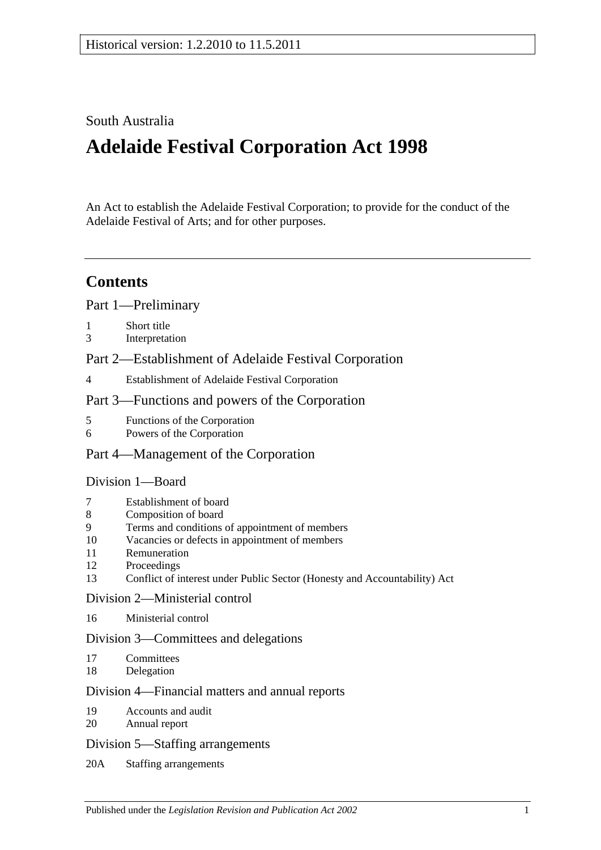## South Australia

# **Adelaide Festival Corporation Act 1998**

An Act to establish the Adelaide Festival Corporation; to provide for the conduct of the Adelaide Festival of Arts; and for other purposes.

## **Contents**

[Part 1—Preliminary](#page-1-0)

- 1 [Short title](#page-1-1)
- 3 [Interpretation](#page-1-2)
- [Part 2—Establishment of Adelaide Festival Corporation](#page-2-0)
- 4 [Establishment of Adelaide Festival Corporation](#page-2-1)

#### [Part 3—Functions and powers of the Corporation](#page-2-2)

- 5 [Functions of the Corporation](#page-2-3)
- 6 [Powers of the Corporation](#page-2-4)

#### [Part 4—Management of the Corporation](#page-4-0)

#### [Division 1—Board](#page-4-1)

- 7 [Establishment of board](#page-4-2)
- 8 [Composition of board](#page-4-3)
- 9 [Terms and conditions of appointment of members](#page-4-4)
- 10 [Vacancies or defects in appointment of members](#page-5-0)
- 11 [Remuneration](#page-5-1)
- 12 [Proceedings](#page-5-2)
- 13 [Conflict of interest under Public Sector \(Honesty](#page-5-3) and Accountability) Act

#### [Division 2—Ministerial control](#page-6-0)

16 [Ministerial control](#page-6-1)

#### [Division 3—Committees and delegations](#page-6-2)

- 17 [Committees](#page-6-3)
- 18 [Delegation](#page-6-4)

#### [Division 4—Financial matters and annual reports](#page-7-0)

- 19 [Accounts and audit](#page-7-1)
- 20 [Annual report](#page-7-2)

#### [Division 5—Staffing arrangements](#page-7-3)

20A [Staffing arrangements](#page-7-4)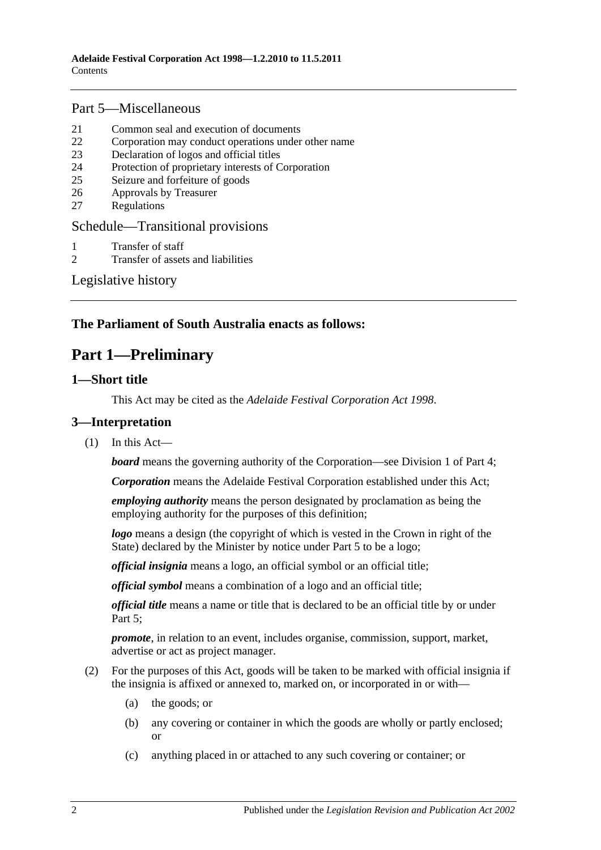#### [Part 5—Miscellaneous](#page-8-0)

- 21 [Common seal and execution of documents](#page-8-1)
- 22 [Corporation may conduct operations under other name](#page-9-0)
- 23 [Declaration of logos and official titles](#page-9-1)
- 24 [Protection of proprietary interests of Corporation](#page-9-2)
- 25 [Seizure and forfeiture of goods](#page-10-0)
- 26 [Approvals by Treasurer](#page-10-1)
- 27 [Regulations](#page-11-0)

#### [Schedule—Transitional provisions](#page-11-1)

- 1 [Transfer of staff](#page-11-2)
- 2 [Transfer of assets and liabilities](#page-11-3)

[Legislative history](#page-13-0)

#### <span id="page-1-0"></span>**The Parliament of South Australia enacts as follows:**

## **Part 1—Preliminary**

#### <span id="page-1-1"></span>**1—Short title**

This Act may be cited as the *Adelaide Festival Corporation Act 1998*.

#### <span id="page-1-2"></span>**3—Interpretation**

 $(1)$  In this Act—

**board** means the governing authority of the Corporation—see [Division 1](#page-4-1) of [Part 4;](#page-4-0)

*Corporation* means the Adelaide Festival Corporation established under this Act;

*employing authority* means the person designated by proclamation as being the employing authority for the purposes of this definition;

*logo* means a design (the copyright of which is vested in the Crown in right of the State) declared by the Minister by notice under [Part 5](#page-8-0) to be a logo;

*official insignia* means a logo, an official symbol or an official title;

*official symbol* means a combination of a logo and an official title;

*official title* means a name or title that is declared to be an official title by or under [Part 5;](#page-8-0)

*promote*, in relation to an event, includes organise, commission, support, market, advertise or act as project manager.

- (2) For the purposes of this Act, goods will be taken to be marked with official insignia if the insignia is affixed or annexed to, marked on, or incorporated in or with—
	- (a) the goods; or
	- (b) any covering or container in which the goods are wholly or partly enclosed; or
	- (c) anything placed in or attached to any such covering or container; or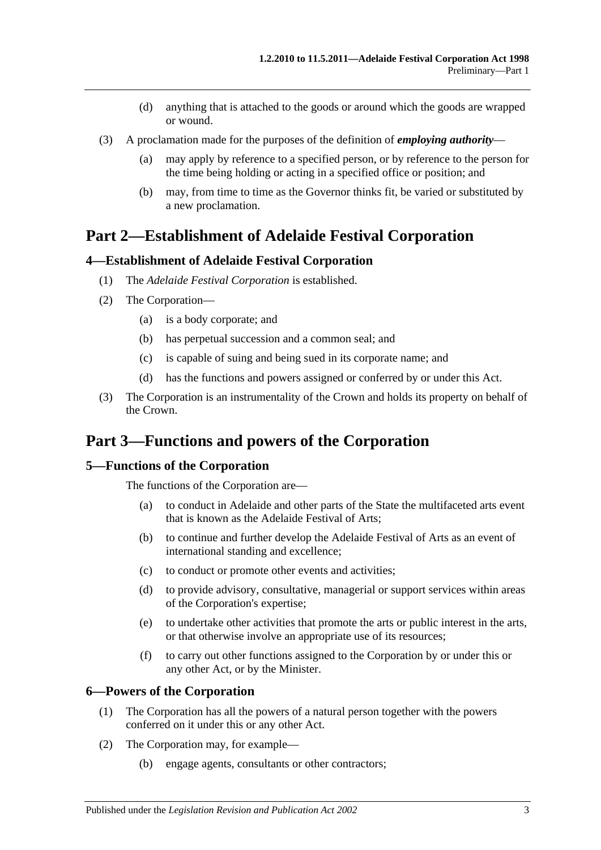- (d) anything that is attached to the goods or around which the goods are wrapped or wound.
- (3) A proclamation made for the purposes of the definition of *employing authority*
	- (a) may apply by reference to a specified person, or by reference to the person for the time being holding or acting in a specified office or position; and
	- (b) may, from time to time as the Governor thinks fit, be varied or substituted by a new proclamation.

## <span id="page-2-0"></span>**Part 2—Establishment of Adelaide Festival Corporation**

#### <span id="page-2-1"></span>**4—Establishment of Adelaide Festival Corporation**

- (1) The *Adelaide Festival Corporation* is established.
- (2) The Corporation—
	- (a) is a body corporate; and
	- (b) has perpetual succession and a common seal; and
	- (c) is capable of suing and being sued in its corporate name; and
	- (d) has the functions and powers assigned or conferred by or under this Act.
- (3) The Corporation is an instrumentality of the Crown and holds its property on behalf of the Crown.

## <span id="page-2-2"></span>**Part 3—Functions and powers of the Corporation**

#### <span id="page-2-3"></span>**5—Functions of the Corporation**

The functions of the Corporation are—

- (a) to conduct in Adelaide and other parts of the State the multifaceted arts event that is known as the Adelaide Festival of Arts;
- (b) to continue and further develop the Adelaide Festival of Arts as an event of international standing and excellence;
- (c) to conduct or promote other events and activities;
- (d) to provide advisory, consultative, managerial or support services within areas of the Corporation's expertise;
- (e) to undertake other activities that promote the arts or public interest in the arts, or that otherwise involve an appropriate use of its resources;
- (f) to carry out other functions assigned to the Corporation by or under this or any other Act, or by the Minister.

#### <span id="page-2-4"></span>**6—Powers of the Corporation**

- (1) The Corporation has all the powers of a natural person together with the powers conferred on it under this or any other Act.
- (2) The Corporation may, for example—
	- (b) engage agents, consultants or other contractors;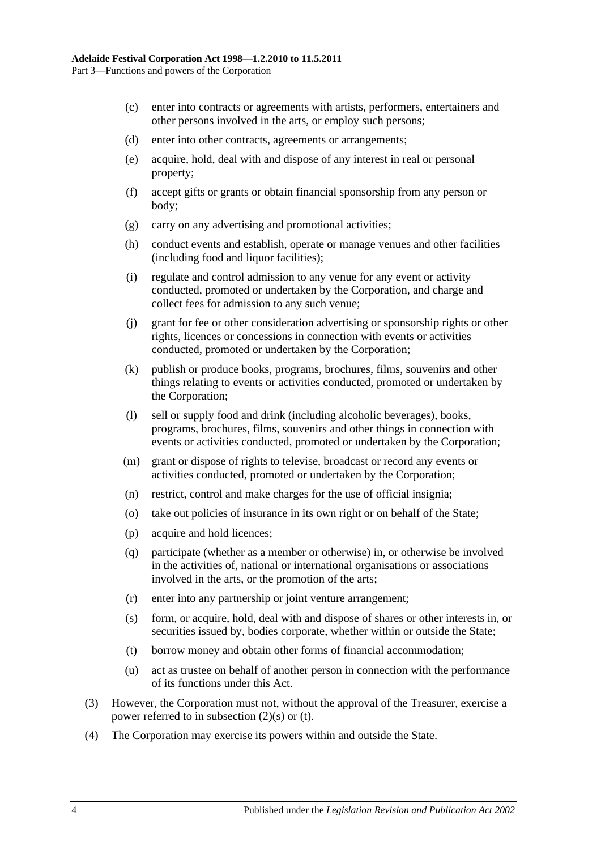- (c) enter into contracts or agreements with artists, performers, entertainers and other persons involved in the arts, or employ such persons;
- (d) enter into other contracts, agreements or arrangements;
- (e) acquire, hold, deal with and dispose of any interest in real or personal property;
- (f) accept gifts or grants or obtain financial sponsorship from any person or body;
- (g) carry on any advertising and promotional activities;
- (h) conduct events and establish, operate or manage venues and other facilities (including food and liquor facilities);
- (i) regulate and control admission to any venue for any event or activity conducted, promoted or undertaken by the Corporation, and charge and collect fees for admission to any such venue;
- (j) grant for fee or other consideration advertising or sponsorship rights or other rights, licences or concessions in connection with events or activities conducted, promoted or undertaken by the Corporation;
- (k) publish or produce books, programs, brochures, films, souvenirs and other things relating to events or activities conducted, promoted or undertaken by the Corporation;
- (l) sell or supply food and drink (including alcoholic beverages), books, programs, brochures, films, souvenirs and other things in connection with events or activities conducted, promoted or undertaken by the Corporation;
- (m) grant or dispose of rights to televise, broadcast or record any events or activities conducted, promoted or undertaken by the Corporation;
- (n) restrict, control and make charges for the use of official insignia;
- (o) take out policies of insurance in its own right or on behalf of the State;
- (p) acquire and hold licences;
- (q) participate (whether as a member or otherwise) in, or otherwise be involved in the activities of, national or international organisations or associations involved in the arts, or the promotion of the arts;
- (r) enter into any partnership or joint venture arrangement;
- <span id="page-3-0"></span>(s) form, or acquire, hold, deal with and dispose of shares or other interests in, or securities issued by, bodies corporate, whether within or outside the State;
- <span id="page-3-1"></span>(t) borrow money and obtain other forms of financial accommodation;
- (u) act as trustee on behalf of another person in connection with the performance of its functions under this Act.
- (3) However, the Corporation must not, without the approval of the Treasurer, exercise a power referred to in [subsection](#page-3-0) (2)(s) or [\(t\).](#page-3-1)
- (4) The Corporation may exercise its powers within and outside the State.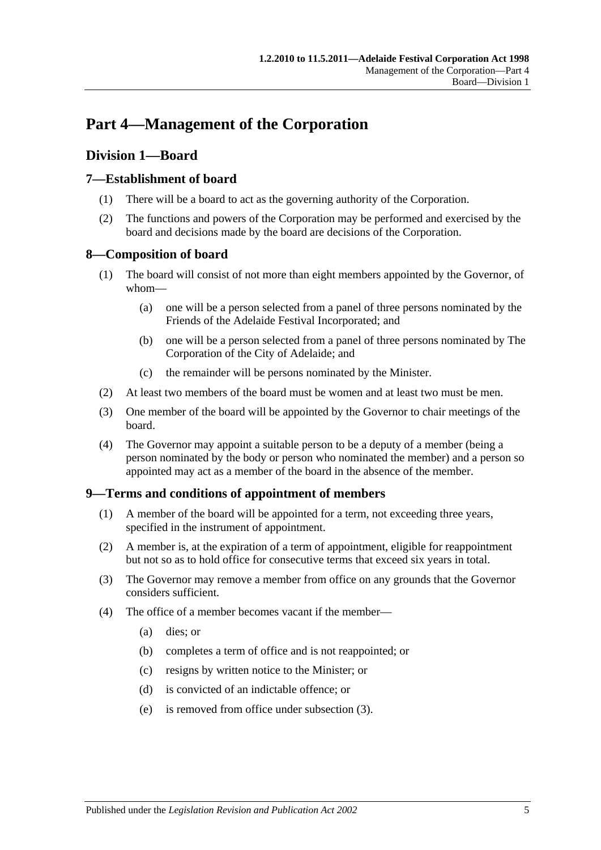## <span id="page-4-0"></span>**Part 4—Management of the Corporation**

## <span id="page-4-1"></span>**Division 1—Board**

### <span id="page-4-2"></span>**7—Establishment of board**

- (1) There will be a board to act as the governing authority of the Corporation.
- (2) The functions and powers of the Corporation may be performed and exercised by the board and decisions made by the board are decisions of the Corporation.

#### <span id="page-4-3"></span>**8—Composition of board**

- (1) The board will consist of not more than eight members appointed by the Governor, of whom—
	- (a) one will be a person selected from a panel of three persons nominated by the Friends of the Adelaide Festival Incorporated; and
	- (b) one will be a person selected from a panel of three persons nominated by The Corporation of the City of Adelaide; and
	- (c) the remainder will be persons nominated by the Minister.
- (2) At least two members of the board must be women and at least two must be men.
- (3) One member of the board will be appointed by the Governor to chair meetings of the board.
- (4) The Governor may appoint a suitable person to be a deputy of a member (being a person nominated by the body or person who nominated the member) and a person so appointed may act as a member of the board in the absence of the member.

#### <span id="page-4-4"></span>**9—Terms and conditions of appointment of members**

- (1) A member of the board will be appointed for a term, not exceeding three years, specified in the instrument of appointment.
- (2) A member is, at the expiration of a term of appointment, eligible for reappointment but not so as to hold office for consecutive terms that exceed six years in total.
- <span id="page-4-5"></span>(3) The Governor may remove a member from office on any grounds that the Governor considers sufficient.
- (4) The office of a member becomes vacant if the member—
	- (a) dies; or
	- (b) completes a term of office and is not reappointed; or
	- (c) resigns by written notice to the Minister; or
	- (d) is convicted of an indictable offence; or
	- (e) is removed from office under [subsection](#page-4-5) (3).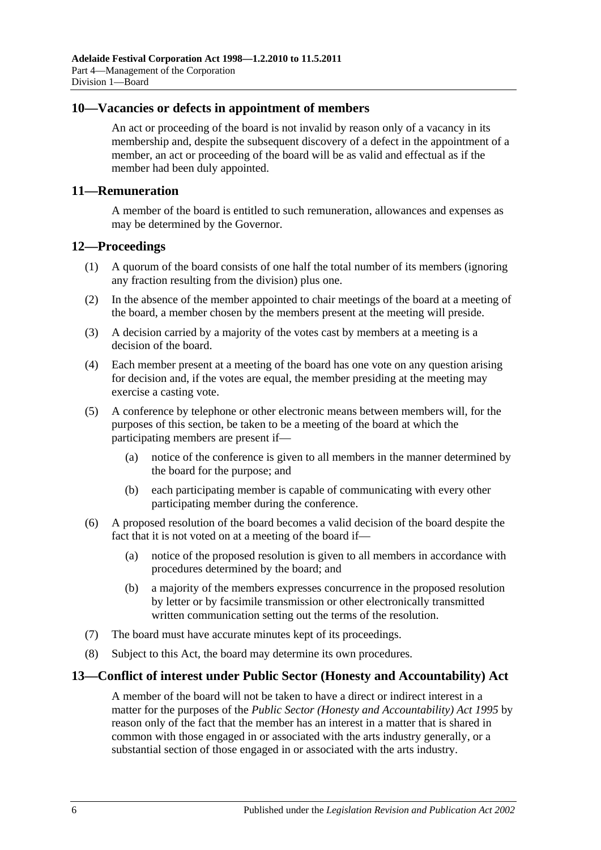#### <span id="page-5-0"></span>**10—Vacancies or defects in appointment of members**

An act or proceeding of the board is not invalid by reason only of a vacancy in its membership and, despite the subsequent discovery of a defect in the appointment of a member, an act or proceeding of the board will be as valid and effectual as if the member had been duly appointed.

#### <span id="page-5-1"></span>**11—Remuneration**

A member of the board is entitled to such remuneration, allowances and expenses as may be determined by the Governor.

#### <span id="page-5-2"></span>**12—Proceedings**

- (1) A quorum of the board consists of one half the total number of its members (ignoring any fraction resulting from the division) plus one.
- (2) In the absence of the member appointed to chair meetings of the board at a meeting of the board, a member chosen by the members present at the meeting will preside.
- (3) A decision carried by a majority of the votes cast by members at a meeting is a decision of the board.
- (4) Each member present at a meeting of the board has one vote on any question arising for decision and, if the votes are equal, the member presiding at the meeting may exercise a casting vote.
- (5) A conference by telephone or other electronic means between members will, for the purposes of this section, be taken to be a meeting of the board at which the participating members are present if—
	- (a) notice of the conference is given to all members in the manner determined by the board for the purpose; and
	- (b) each participating member is capable of communicating with every other participating member during the conference.
- (6) A proposed resolution of the board becomes a valid decision of the board despite the fact that it is not voted on at a meeting of the board if—
	- (a) notice of the proposed resolution is given to all members in accordance with procedures determined by the board; and
	- (b) a majority of the members expresses concurrence in the proposed resolution by letter or by facsimile transmission or other electronically transmitted written communication setting out the terms of the resolution.
- (7) The board must have accurate minutes kept of its proceedings.
- (8) Subject to this Act, the board may determine its own procedures.

#### <span id="page-5-3"></span>**13—Conflict of interest under Public Sector (Honesty and Accountability) Act**

A member of the board will not be taken to have a direct or indirect interest in a matter for the purposes of the *[Public Sector \(Honesty and Accountability\) Act](http://www.legislation.sa.gov.au/index.aspx?action=legref&type=act&legtitle=Public%20Sector%20(Honesty%20and%20Accountability)%20Act%201995) 1995* by reason only of the fact that the member has an interest in a matter that is shared in common with those engaged in or associated with the arts industry generally, or a substantial section of those engaged in or associated with the arts industry.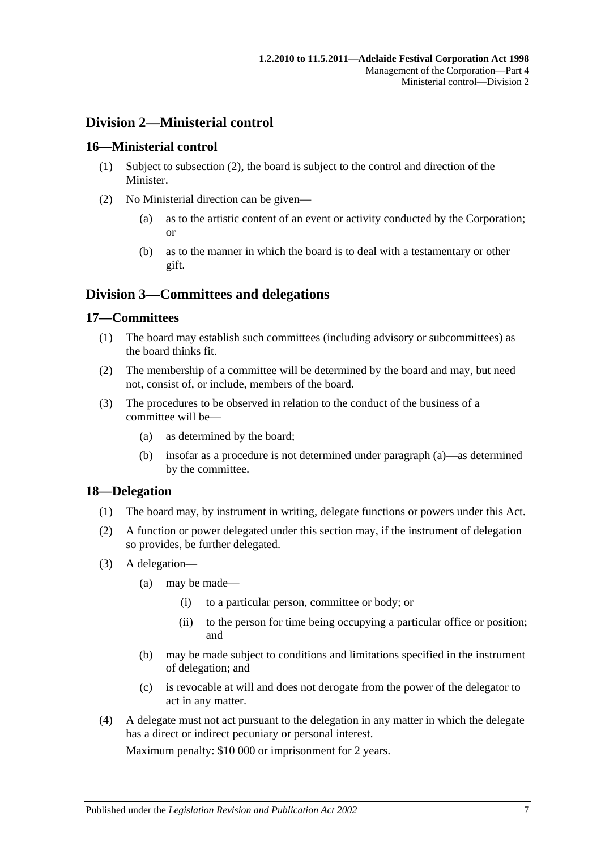## <span id="page-6-0"></span>**Division 2—Ministerial control**

#### <span id="page-6-1"></span>**16—Ministerial control**

- (1) Subject to [subsection](#page-6-5) (2), the board is subject to the control and direction of the Minister.
- <span id="page-6-5"></span>(2) No Ministerial direction can be given—
	- (a) as to the artistic content of an event or activity conducted by the Corporation; or
	- (b) as to the manner in which the board is to deal with a testamentary or other gift.

## <span id="page-6-2"></span>**Division 3—Committees and delegations**

#### <span id="page-6-3"></span>**17—Committees**

- (1) The board may establish such committees (including advisory or subcommittees) as the board thinks fit.
- (2) The membership of a committee will be determined by the board and may, but need not, consist of, or include, members of the board.
- (3) The procedures to be observed in relation to the conduct of the business of a committee will be—
	- (a) as determined by the board;
	- (b) insofar as a procedure is not determined under paragraph (a)—as determined by the committee.

#### <span id="page-6-4"></span>**18—Delegation**

- (1) The board may, by instrument in writing, delegate functions or powers under this Act.
- (2) A function or power delegated under this section may, if the instrument of delegation so provides, be further delegated.
- (3) A delegation—
	- (a) may be made—
		- (i) to a particular person, committee or body; or
		- (ii) to the person for time being occupying a particular office or position; and
	- (b) may be made subject to conditions and limitations specified in the instrument of delegation; and
	- (c) is revocable at will and does not derogate from the power of the delegator to act in any matter.
- <span id="page-6-6"></span>(4) A delegate must not act pursuant to the delegation in any matter in which the delegate has a direct or indirect pecuniary or personal interest.

Maximum penalty: \$10 000 or imprisonment for 2 years.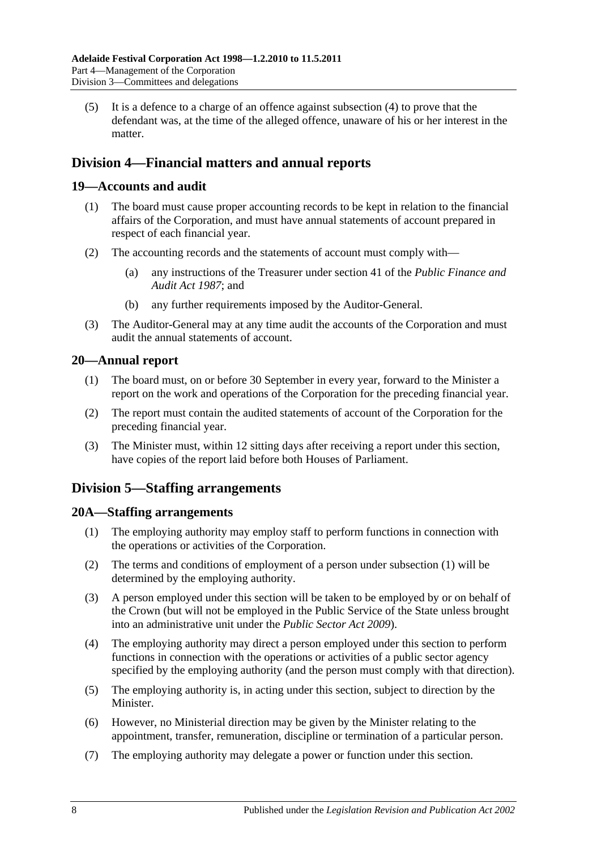(5) It is a defence to a charge of an offence against [subsection](#page-6-6) (4) to prove that the defendant was, at the time of the alleged offence, unaware of his or her interest in the matter.

## <span id="page-7-0"></span>**Division 4—Financial matters and annual reports**

#### <span id="page-7-1"></span>**19—Accounts and audit**

- (1) The board must cause proper accounting records to be kept in relation to the financial affairs of the Corporation, and must have annual statements of account prepared in respect of each financial year.
- (2) The accounting records and the statements of account must comply with—
	- (a) any instructions of the Treasurer under section 41 of the *[Public Finance and](http://www.legislation.sa.gov.au/index.aspx?action=legref&type=act&legtitle=Public%20Finance%20and%20Audit%20Act%201987)  [Audit Act](http://www.legislation.sa.gov.au/index.aspx?action=legref&type=act&legtitle=Public%20Finance%20and%20Audit%20Act%201987) 1987*; and
	- (b) any further requirements imposed by the Auditor-General.
- (3) The Auditor-General may at any time audit the accounts of the Corporation and must audit the annual statements of account.

#### <span id="page-7-2"></span>**20—Annual report**

- (1) The board must, on or before 30 September in every year, forward to the Minister a report on the work and operations of the Corporation for the preceding financial year.
- (2) The report must contain the audited statements of account of the Corporation for the preceding financial year.
- (3) The Minister must, within 12 sitting days after receiving a report under this section, have copies of the report laid before both Houses of Parliament.

## <span id="page-7-3"></span>**Division 5—Staffing arrangements**

#### <span id="page-7-5"></span><span id="page-7-4"></span>**20A—Staffing arrangements**

- (1) The employing authority may employ staff to perform functions in connection with the operations or activities of the Corporation.
- (2) The terms and conditions of employment of a person under [subsection](#page-7-5) (1) will be determined by the employing authority.
- (3) A person employed under this section will be taken to be employed by or on behalf of the Crown (but will not be employed in the Public Service of the State unless brought into an administrative unit under the *[Public Sector Act](http://www.legislation.sa.gov.au/index.aspx?action=legref&type=act&legtitle=Public%20Sector%20Act%202009) 2009*).
- (4) The employing authority may direct a person employed under this section to perform functions in connection with the operations or activities of a public sector agency specified by the employing authority (and the person must comply with that direction).
- (5) The employing authority is, in acting under this section, subject to direction by the **Minister**
- (6) However, no Ministerial direction may be given by the Minister relating to the appointment, transfer, remuneration, discipline or termination of a particular person.
- <span id="page-7-6"></span>(7) The employing authority may delegate a power or function under this section.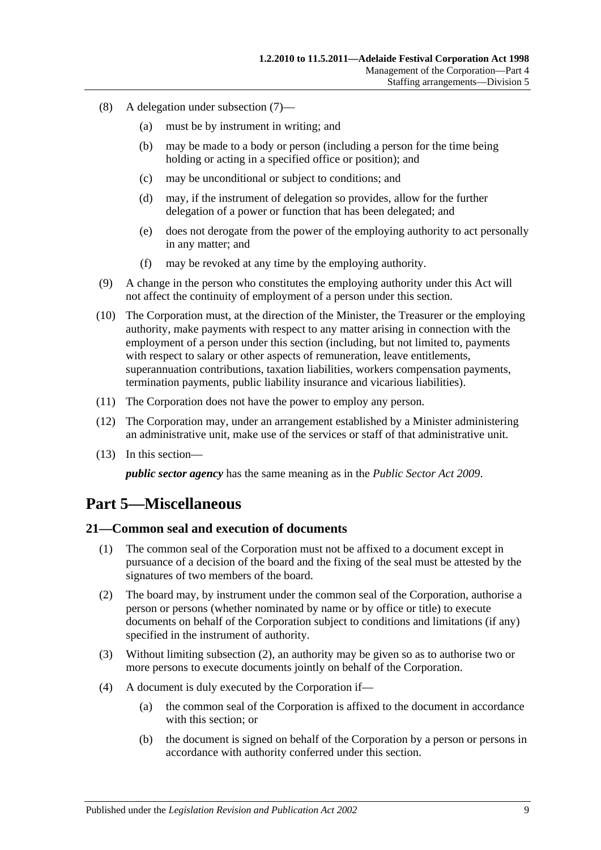- (8) A delegation under [subsection](#page-7-6) (7)—
	- (a) must be by instrument in writing; and
	- (b) may be made to a body or person (including a person for the time being holding or acting in a specified office or position); and
	- (c) may be unconditional or subject to conditions; and
	- (d) may, if the instrument of delegation so provides, allow for the further delegation of a power or function that has been delegated; and
	- (e) does not derogate from the power of the employing authority to act personally in any matter; and
	- (f) may be revoked at any time by the employing authority.
- (9) A change in the person who constitutes the employing authority under this Act will not affect the continuity of employment of a person under this section.
- (10) The Corporation must, at the direction of the Minister, the Treasurer or the employing authority, make payments with respect to any matter arising in connection with the employment of a person under this section (including, but not limited to, payments with respect to salary or other aspects of remuneration, leave entitlements, superannuation contributions, taxation liabilities, workers compensation payments, termination payments, public liability insurance and vicarious liabilities).
- (11) The Corporation does not have the power to employ any person.
- (12) The Corporation may, under an arrangement established by a Minister administering an administrative unit, make use of the services or staff of that administrative unit.
- (13) In this section—

*public sector agency* has the same meaning as in the *[Public Sector Act](http://www.legislation.sa.gov.au/index.aspx?action=legref&type=act&legtitle=Public%20Sector%20Act%202009) 2009*.

## <span id="page-8-0"></span>**Part 5—Miscellaneous**

#### <span id="page-8-1"></span>**21—Common seal and execution of documents**

- (1) The common seal of the Corporation must not be affixed to a document except in pursuance of a decision of the board and the fixing of the seal must be attested by the signatures of two members of the board.
- <span id="page-8-2"></span>(2) The board may, by instrument under the common seal of the Corporation, authorise a person or persons (whether nominated by name or by office or title) to execute documents on behalf of the Corporation subject to conditions and limitations (if any) specified in the instrument of authority.
- (3) Without limiting [subsection](#page-8-2) (2), an authority may be given so as to authorise two or more persons to execute documents jointly on behalf of the Corporation.
- (4) A document is duly executed by the Corporation if—
	- (a) the common seal of the Corporation is affixed to the document in accordance with this section; or
	- (b) the document is signed on behalf of the Corporation by a person or persons in accordance with authority conferred under this section.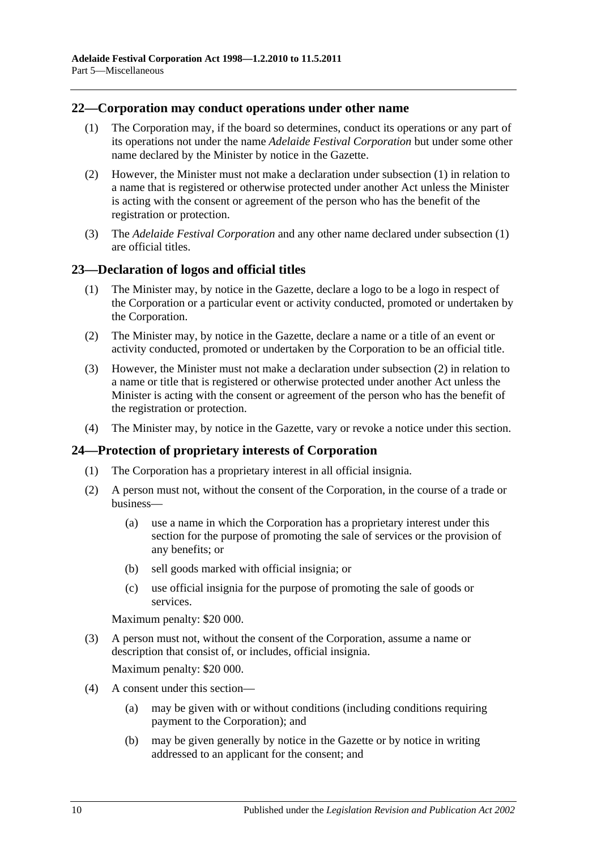#### <span id="page-9-3"></span><span id="page-9-0"></span>**22—Corporation may conduct operations under other name**

- (1) The Corporation may, if the board so determines, conduct its operations or any part of its operations not under the name *Adelaide Festival Corporation* but under some other name declared by the Minister by notice in the Gazette.
- (2) However, the Minister must not make a declaration under [subsection](#page-9-3) (1) in relation to a name that is registered or otherwise protected under another Act unless the Minister is acting with the consent or agreement of the person who has the benefit of the registration or protection.
- (3) The *Adelaide Festival Corporation* and any other name declared under [subsection](#page-9-3) (1) are official titles.

#### <span id="page-9-1"></span>**23—Declaration of logos and official titles**

- (1) The Minister may, by notice in the Gazette, declare a logo to be a logo in respect of the Corporation or a particular event or activity conducted, promoted or undertaken by the Corporation.
- <span id="page-9-4"></span>(2) The Minister may, by notice in the Gazette, declare a name or a title of an event or activity conducted, promoted or undertaken by the Corporation to be an official title.
- (3) However, the Minister must not make a declaration under [subsection](#page-9-4) (2) in relation to a name or title that is registered or otherwise protected under another Act unless the Minister is acting with the consent or agreement of the person who has the benefit of the registration or protection.
- (4) The Minister may, by notice in the Gazette, vary or revoke a notice under this section.

#### <span id="page-9-2"></span>**24—Protection of proprietary interests of Corporation**

- (1) The Corporation has a proprietary interest in all official insignia.
- <span id="page-9-5"></span>(2) A person must not, without the consent of the Corporation, in the course of a trade or business—
	- (a) use a name in which the Corporation has a proprietary interest under this section for the purpose of promoting the sale of services or the provision of any benefits; or
	- (b) sell goods marked with official insignia; or
	- (c) use official insignia for the purpose of promoting the sale of goods or services.

Maximum penalty: \$20 000.

(3) A person must not, without the consent of the Corporation, assume a name or description that consist of, or includes, official insignia.

Maximum penalty: \$20 000.

- (4) A consent under this section—
	- (a) may be given with or without conditions (including conditions requiring payment to the Corporation); and
	- (b) may be given generally by notice in the Gazette or by notice in writing addressed to an applicant for the consent; and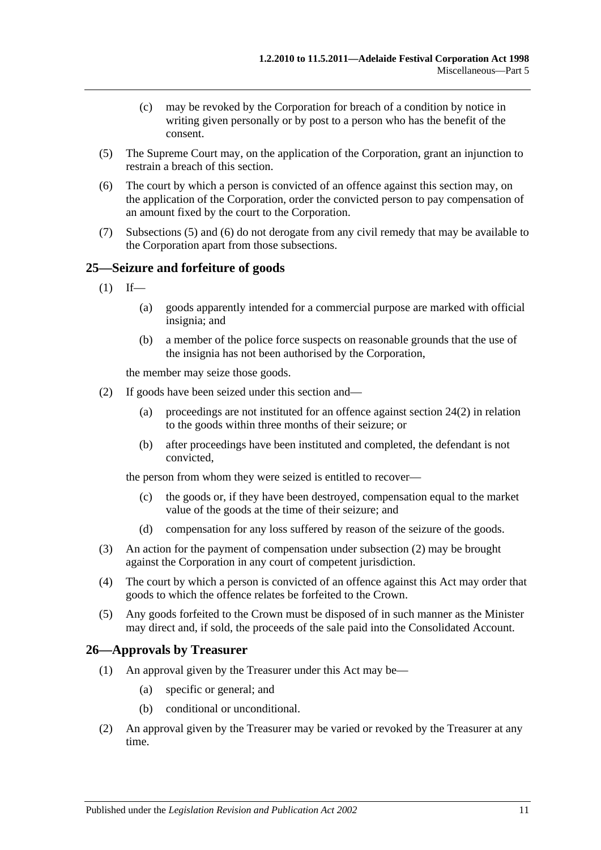- (c) may be revoked by the Corporation for breach of a condition by notice in writing given personally or by post to a person who has the benefit of the consent.
- <span id="page-10-2"></span>(5) The Supreme Court may, on the application of the Corporation, grant an injunction to restrain a breach of this section.
- <span id="page-10-3"></span>(6) The court by which a person is convicted of an offence against this section may, on the application of the Corporation, order the convicted person to pay compensation of an amount fixed by the court to the Corporation.
- (7) [Subsections](#page-10-2) (5) and [\(6\)](#page-10-3) do not derogate from any civil remedy that may be available to the Corporation apart from those subsections.

#### <span id="page-10-0"></span>**25—Seizure and forfeiture of goods**

- $(1)$  If—
	- (a) goods apparently intended for a commercial purpose are marked with official insignia; and
	- (b) a member of the police force suspects on reasonable grounds that the use of the insignia has not been authorised by the Corporation,

the member may seize those goods.

- <span id="page-10-4"></span>(2) If goods have been seized under this section and—
	- (a) proceedings are not instituted for an offence against [section](#page-9-5) 24(2) in relation to the goods within three months of their seizure; or
	- (b) after proceedings have been instituted and completed, the defendant is not convicted,

the person from whom they were seized is entitled to recover—

- (c) the goods or, if they have been destroyed, compensation equal to the market value of the goods at the time of their seizure; and
- (d) compensation for any loss suffered by reason of the seizure of the goods.
- (3) An action for the payment of compensation under [subsection](#page-10-4) (2) may be brought against the Corporation in any court of competent jurisdiction.
- (4) The court by which a person is convicted of an offence against this Act may order that goods to which the offence relates be forfeited to the Crown.
- (5) Any goods forfeited to the Crown must be disposed of in such manner as the Minister may direct and, if sold, the proceeds of the sale paid into the Consolidated Account.

#### <span id="page-10-1"></span>**26—Approvals by Treasurer**

- (1) An approval given by the Treasurer under this Act may be—
	- (a) specific or general; and
	- (b) conditional or unconditional.
- (2) An approval given by the Treasurer may be varied or revoked by the Treasurer at any time.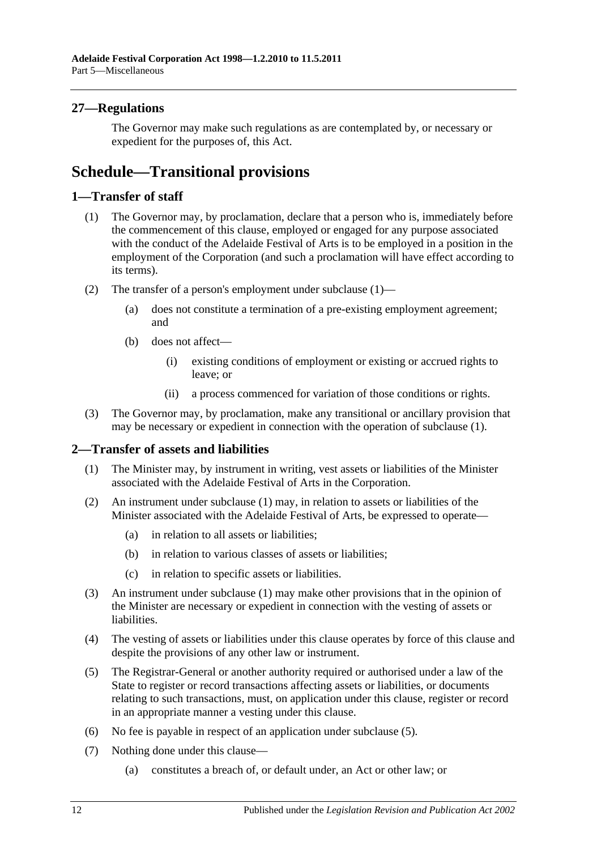### <span id="page-11-0"></span>**27—Regulations**

The Governor may make such regulations as are contemplated by, or necessary or expedient for the purposes of, this Act.

## <span id="page-11-1"></span>**Schedule—Transitional provisions**

#### <span id="page-11-4"></span><span id="page-11-2"></span>**1—Transfer of staff**

- (1) The Governor may, by proclamation, declare that a person who is, immediately before the commencement of this clause, employed or engaged for any purpose associated with the conduct of the Adelaide Festival of Arts is to be employed in a position in the employment of the Corporation (and such a proclamation will have effect according to its terms).
- (2) The transfer of a person's employment under [subclause](#page-11-4) (1)—
	- (a) does not constitute a termination of a pre-existing employment agreement; and
	- (b) does not affect—
		- (i) existing conditions of employment or existing or accrued rights to leave; or
		- (ii) a process commenced for variation of those conditions or rights.
- (3) The Governor may, by proclamation, make any transitional or ancillary provision that may be necessary or expedient in connection with the operation of [subclause](#page-11-4) (1).

#### <span id="page-11-5"></span><span id="page-11-3"></span>**2—Transfer of assets and liabilities**

- (1) The Minister may, by instrument in writing, vest assets or liabilities of the Minister associated with the Adelaide Festival of Arts in the Corporation.
- (2) An instrument under [subclause](#page-11-5) (1) may, in relation to assets or liabilities of the Minister associated with the Adelaide Festival of Arts, be expressed to operate—
	- (a) in relation to all assets or liabilities;
	- (b) in relation to various classes of assets or liabilities;
	- (c) in relation to specific assets or liabilities.
- (3) An instrument under [subclause](#page-11-5) (1) may make other provisions that in the opinion of the Minister are necessary or expedient in connection with the vesting of assets or liabilities.
- (4) The vesting of assets or liabilities under this clause operates by force of this clause and despite the provisions of any other law or instrument.
- <span id="page-11-6"></span>(5) The Registrar-General or another authority required or authorised under a law of the State to register or record transactions affecting assets or liabilities, or documents relating to such transactions, must, on application under this clause, register or record in an appropriate manner a vesting under this clause.
- (6) No fee is payable in respect of an application under [subclause](#page-11-6) (5).
- (7) Nothing done under this clause—
	- (a) constitutes a breach of, or default under, an Act or other law; or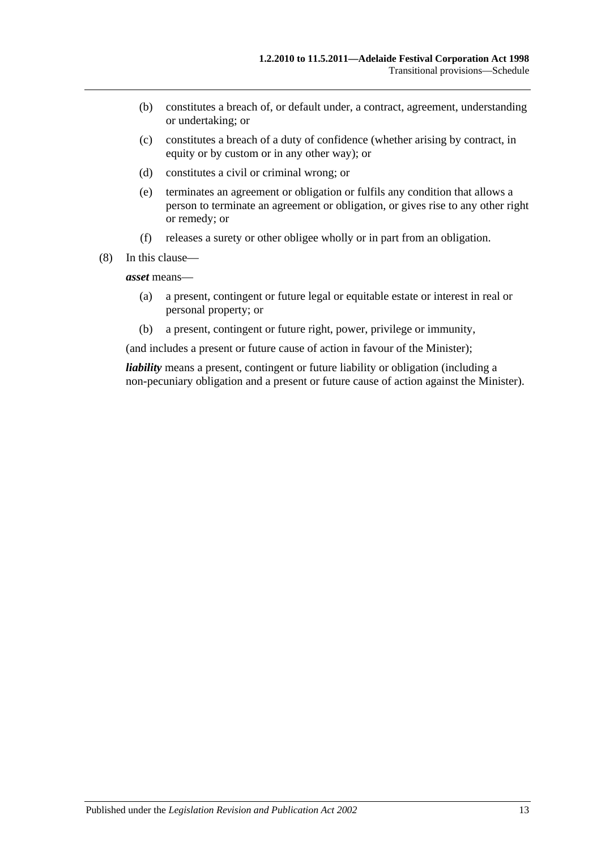- (b) constitutes a breach of, or default under, a contract, agreement, understanding or undertaking; or
- (c) constitutes a breach of a duty of confidence (whether arising by contract, in equity or by custom or in any other way); or
- (d) constitutes a civil or criminal wrong; or
- (e) terminates an agreement or obligation or fulfils any condition that allows a person to terminate an agreement or obligation, or gives rise to any other right or remedy; or
- (f) releases a surety or other obligee wholly or in part from an obligation.
- (8) In this clause—

*asset* means—

- (a) a present, contingent or future legal or equitable estate or interest in real or personal property; or
- (b) a present, contingent or future right, power, privilege or immunity,

(and includes a present or future cause of action in favour of the Minister);

*liability* means a present, contingent or future liability or obligation (including a non-pecuniary obligation and a present or future cause of action against the Minister).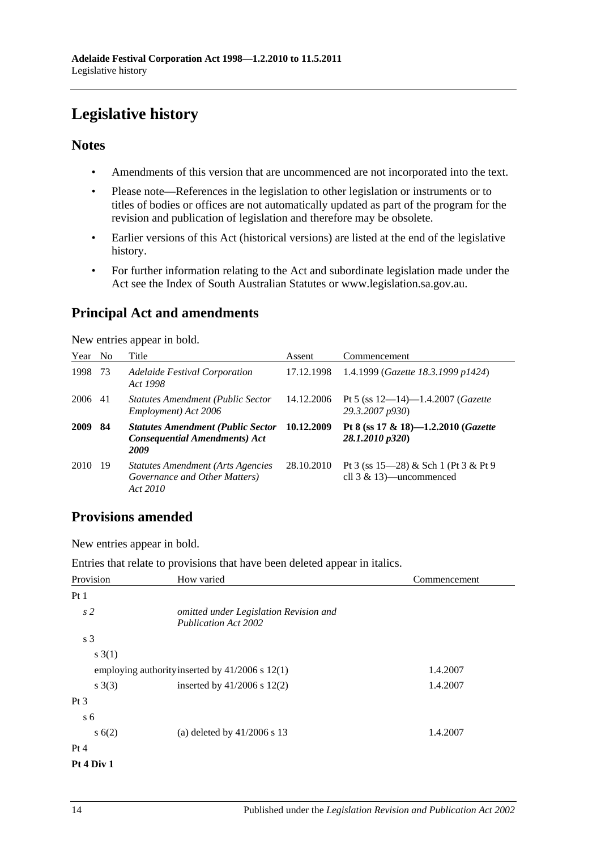## <span id="page-13-0"></span>**Legislative history**

### **Notes**

- Amendments of this version that are uncommenced are not incorporated into the text.
- Please note—References in the legislation to other legislation or instruments or to titles of bodies or offices are not automatically updated as part of the program for the revision and publication of legislation and therefore may be obsolete.
- Earlier versions of this Act (historical versions) are listed at the end of the legislative history.
- For further information relating to the Act and subordinate legislation made under the Act see the Index of South Australian Statutes or www.legislation.sa.gov.au.

## **Principal Act and amendments**

New entries appear in bold.

| Year No |     | Title                                                                                    | Assent     | Commencement                                                        |
|---------|-----|------------------------------------------------------------------------------------------|------------|---------------------------------------------------------------------|
| 1998    | 73  | <b>Adelaide Festival Corporation</b><br>Act 1998                                         | 17.12.1998 | 1.4.1999 (Gazette 18.3.1999 p1424)                                  |
| 2006    | 41  | <b>Statutes Amendment (Public Sector</b><br>Employment) Act 2006                         | 14.12.2006 | Pt 5 (ss $12-14$ )-1.4.2007 ( <i>Gazette</i><br>29.3.2007 p930)     |
| 2009    | 84  | <b>Statutes Amendment (Public Sector</b><br><b>Consequential Amendments) Act</b><br>2009 | 10.12.2009 | Pt 8 (ss $17 \& 18$ )-1.2.2010 (Gazette<br>28.1.2010 p320)          |
| 2010    | -19 | <b>Statutes Amendment (Arts Agencies)</b><br>Governance and Other Matters)<br>Act 2010   | 28.10.2010 | Pt 3 (ss 15–28) & Sch 1 (Pt 3 & Pt 9<br>cll $3 \& 13$ )—uncommenced |

## **Provisions amended**

New entries appear in bold.

Entries that relate to provisions that have been deleted appear in italics.

| Provision       | How varied                                                            | Commencement |
|-----------------|-----------------------------------------------------------------------|--------------|
| Pt1             |                                                                       |              |
| s <sub>2</sub>  | omitted under Legislation Revision and<br><b>Publication Act 2002</b> |              |
| s <sub>3</sub>  |                                                                       |              |
| s(3(1))         |                                                                       |              |
|                 | employing authority inserted by 41/2006 s 12(1)                       | 1.4.2007     |
| s(3)            | inserted by $41/2006$ s $12(2)$                                       | 1.4.2007     |
| Pt <sub>3</sub> |                                                                       |              |
| s <sub>6</sub>  |                                                                       |              |
| s(6(2)          | (a) deleted by $41/2006$ s 13                                         | 1.4.2007     |
| Pt 4            |                                                                       |              |
| Pt 4 Div 1      |                                                                       |              |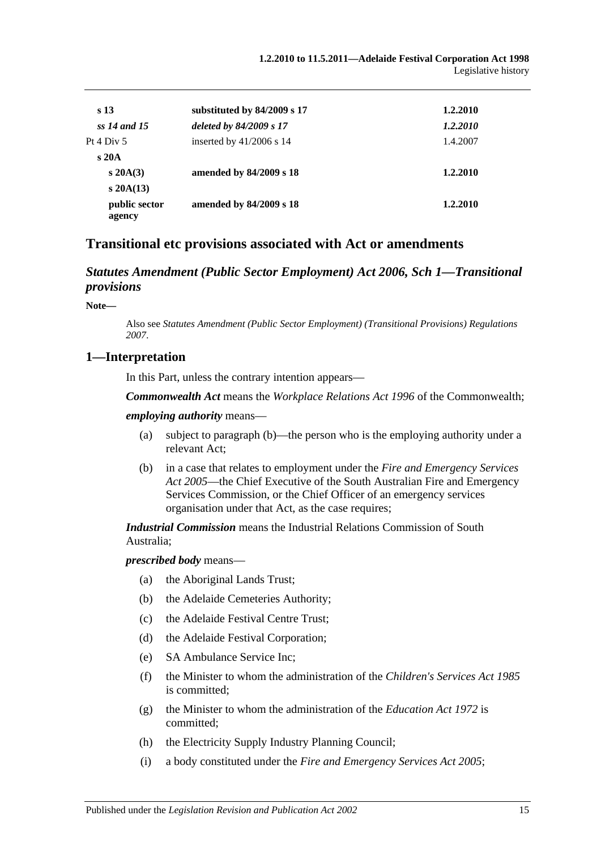| s <sub>13</sub>         | substituted by 84/2009 s 17 | 1.2.2010 |
|-------------------------|-----------------------------|----------|
| ss 14 and 15            | deleted by 84/2009 s 17     | 1.2.2010 |
| Pt $4 \mathrm{Div} 5$   | inserted by $41/2006$ s 14  | 1.4.2007 |
| s20A                    |                             |          |
| $s\,20A(3)$             | amended by 84/2009 s 18     | 1.2.2010 |
| $s\,20A(13)$            |                             |          |
| public sector<br>agency | amended by 84/2009 s 18     | 1.2.2010 |

## **Transitional etc provisions associated with Act or amendments**

#### *Statutes Amendment (Public Sector Employment) Act 2006, Sch 1—Transitional provisions*

**Note—**

Also see *Statutes Amendment (Public [Sector Employment\) \(Transitional Provisions\) Regulations](http://www.legislation.sa.gov.au/index.aspx?action=legref&type=act&legtitle=Statutes%20Amendment%20(Public%20Sector%20Employment)%20(Transitional%20Provisions)%20Regulations%202007)  [2007](http://www.legislation.sa.gov.au/index.aspx?action=legref&type=act&legtitle=Statutes%20Amendment%20(Public%20Sector%20Employment)%20(Transitional%20Provisions)%20Regulations%202007)*.

#### **1—Interpretation**

In this Part, unless the contrary intention appears—

*Commonwealth Act* means the *Workplace Relations Act 1996* of the Commonwealth;

#### *employing authority* means—

- (a) subject to [paragraph](#page-14-0) (b)—the person who is the employing authority under a relevant Act;
- <span id="page-14-0"></span>(b) in a case that relates to employment under the *[Fire and Emergency Services](http://www.legislation.sa.gov.au/index.aspx?action=legref&type=act&legtitle=Fire%20and%20Emergency%20Services%20Act%202005)  Act [2005](http://www.legislation.sa.gov.au/index.aspx?action=legref&type=act&legtitle=Fire%20and%20Emergency%20Services%20Act%202005)*—the Chief Executive of the South Australian Fire and Emergency Services Commission, or the Chief Officer of an emergency services organisation under that Act, as the case requires;

*Industrial Commission* means the Industrial Relations Commission of South Australia;

#### *prescribed body* means—

- (a) the Aboriginal Lands Trust;
- (b) the Adelaide Cemeteries Authority;
- (c) the Adelaide Festival Centre Trust;
- (d) the Adelaide Festival Corporation;
- (e) SA Ambulance Service Inc;
- (f) the Minister to whom the administration of the *[Children's Services Act](http://www.legislation.sa.gov.au/index.aspx?action=legref&type=act&legtitle=Childrens%20Services%20Act%201985) 1985* is committed;
- (g) the Minister to whom the administration of the *[Education Act](http://www.legislation.sa.gov.au/index.aspx?action=legref&type=act&legtitle=Education%20Act%201972) 1972* is committed;
- (h) the Electricity Supply Industry Planning Council;
- (i) a body constituted under the *[Fire and Emergency Services Act](http://www.legislation.sa.gov.au/index.aspx?action=legref&type=act&legtitle=Fire%20and%20Emergency%20Services%20Act%202005) 2005*;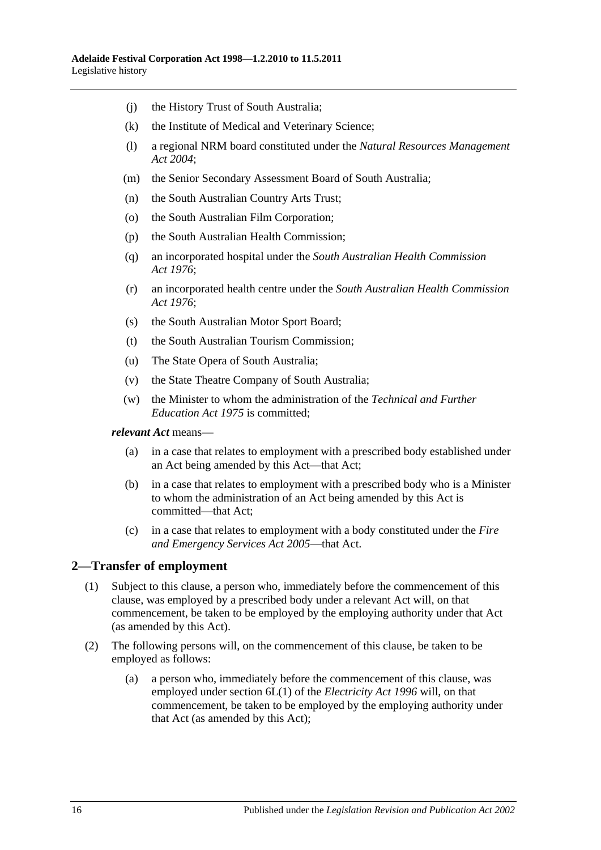- (j) the History Trust of South Australia;
- (k) the Institute of Medical and Veterinary Science;
- (l) a regional NRM board constituted under the *[Natural Resources Management](http://www.legislation.sa.gov.au/index.aspx?action=legref&type=act&legtitle=Natural%20Resources%20Management%20Act%202004)  Act [2004](http://www.legislation.sa.gov.au/index.aspx?action=legref&type=act&legtitle=Natural%20Resources%20Management%20Act%202004)*;
- (m) the Senior Secondary Assessment Board of South Australia;
- (n) the South Australian Country Arts Trust;
- (o) the South Australian Film Corporation;
- (p) the South Australian Health Commission;
- (q) an incorporated hospital under the *[South Australian Health Commission](http://www.legislation.sa.gov.au/index.aspx?action=legref&type=act&legtitle=South%20Australian%20Health%20Commission%20Act%201976)  Act [1976](http://www.legislation.sa.gov.au/index.aspx?action=legref&type=act&legtitle=South%20Australian%20Health%20Commission%20Act%201976)*;
- (r) an incorporated health centre under the *[South Australian Health Commission](http://www.legislation.sa.gov.au/index.aspx?action=legref&type=act&legtitle=South%20Australian%20Health%20Commission%20Act%201976)  Act [1976](http://www.legislation.sa.gov.au/index.aspx?action=legref&type=act&legtitle=South%20Australian%20Health%20Commission%20Act%201976)*;
- (s) the South Australian Motor Sport Board;
- (t) the South Australian Tourism Commission;
- (u) The State Opera of South Australia;
- (v) the State Theatre Company of South Australia;
- (w) the Minister to whom the administration of the *[Technical and Further](http://www.legislation.sa.gov.au/index.aspx?action=legref&type=act&legtitle=Technical%20and%20Further%20Education%20Act%201975)  [Education Act](http://www.legislation.sa.gov.au/index.aspx?action=legref&type=act&legtitle=Technical%20and%20Further%20Education%20Act%201975) 1975* is committed;

#### *relevant Act* means—

- (a) in a case that relates to employment with a prescribed body established under an Act being amended by this Act—that Act;
- (b) in a case that relates to employment with a prescribed body who is a Minister to whom the administration of an Act being amended by this Act is committed—that Act;
- (c) in a case that relates to employment with a body constituted under the *[Fire](http://www.legislation.sa.gov.au/index.aspx?action=legref&type=act&legtitle=Fire%20and%20Emergency%20Services%20Act%202005)  [and Emergency Services Act](http://www.legislation.sa.gov.au/index.aspx?action=legref&type=act&legtitle=Fire%20and%20Emergency%20Services%20Act%202005) 2005*—that Act.

#### <span id="page-15-0"></span>**2—Transfer of employment**

- (1) Subject to this clause, a person who, immediately before the commencement of this clause, was employed by a prescribed body under a relevant Act will, on that commencement, be taken to be employed by the employing authority under that Act (as amended by this Act).
- <span id="page-15-1"></span>(2) The following persons will, on the commencement of this clause, be taken to be employed as follows:
	- (a) a person who, immediately before the commencement of this clause, was employed under section 6L(1) of the *[Electricity Act](http://www.legislation.sa.gov.au/index.aspx?action=legref&type=act&legtitle=Electricity%20Act%201996) 1996* will, on that commencement, be taken to be employed by the employing authority under that Act (as amended by this Act);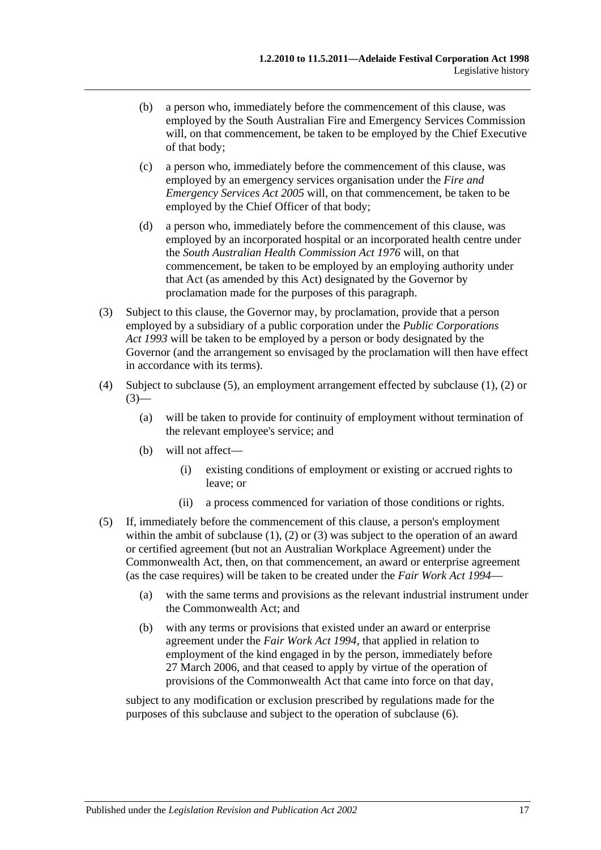- (b) a person who, immediately before the commencement of this clause, was employed by the South Australian Fire and Emergency Services Commission will, on that commencement, be taken to be employed by the Chief Executive of that body;
- (c) a person who, immediately before the commencement of this clause, was employed by an emergency services organisation under the *[Fire and](http://www.legislation.sa.gov.au/index.aspx?action=legref&type=act&legtitle=Fire%20and%20Emergency%20Services%20Act%202005)  [Emergency Services Act](http://www.legislation.sa.gov.au/index.aspx?action=legref&type=act&legtitle=Fire%20and%20Emergency%20Services%20Act%202005) 2005* will, on that commencement, be taken to be employed by the Chief Officer of that body;
- (d) a person who, immediately before the commencement of this clause, was employed by an incorporated hospital or an incorporated health centre under the *[South Australian Health Commission Act](http://www.legislation.sa.gov.au/index.aspx?action=legref&type=act&legtitle=South%20Australian%20Health%20Commission%20Act%201976) 1976* will, on that commencement, be taken to be employed by an employing authority under that Act (as amended by this Act) designated by the Governor by proclamation made for the purposes of this paragraph.
- <span id="page-16-1"></span>(3) Subject to this clause, the Governor may, by proclamation, provide that a person employed by a subsidiary of a public corporation under the *[Public Corporations](http://www.legislation.sa.gov.au/index.aspx?action=legref&type=act&legtitle=Public%20Corporations%20Act%201993)  Act [1993](http://www.legislation.sa.gov.au/index.aspx?action=legref&type=act&legtitle=Public%20Corporations%20Act%201993)* will be taken to be employed by a person or body designated by the Governor (and the arrangement so envisaged by the proclamation will then have effect in accordance with its terms).
- (4) Subject to [subclause](#page-16-0) (5), an employment arrangement effected by [subclause](#page-15-0) (1), [\(2\)](#page-15-1) or  $(3)$ —
	- (a) will be taken to provide for continuity of employment without termination of the relevant employee's service; and
	- (b) will not affect—
		- (i) existing conditions of employment or existing or accrued rights to leave; or
		- (ii) a process commenced for variation of those conditions or rights.
- <span id="page-16-0"></span>(5) If, immediately before the commencement of this clause, a person's employment within the ambit of [subclause](#page-15-0) (1), [\(2\)](#page-15-1) or [\(3\)](#page-16-1) was subject to the operation of an award or certified agreement (but not an Australian Workplace Agreement) under the Commonwealth Act, then, on that commencement, an award or enterprise agreement (as the case requires) will be taken to be created under the *[Fair Work Act](http://www.legislation.sa.gov.au/index.aspx?action=legref&type=act&legtitle=Fair%20Work%20Act%201994) 1994*—
	- (a) with the same terms and provisions as the relevant industrial instrument under the Commonwealth Act; and
	- (b) with any terms or provisions that existed under an award or enterprise agreement under the *[Fair Work Act](http://www.legislation.sa.gov.au/index.aspx?action=legref&type=act&legtitle=Fair%20Work%20Act%201994) 1994*, that applied in relation to employment of the kind engaged in by the person, immediately before 27 March 2006, and that ceased to apply by virtue of the operation of provisions of the Commonwealth Act that came into force on that day,

subject to any modification or exclusion prescribed by regulations made for the purposes of this subclause and subject to the operation of [subclause](#page-17-0) (6).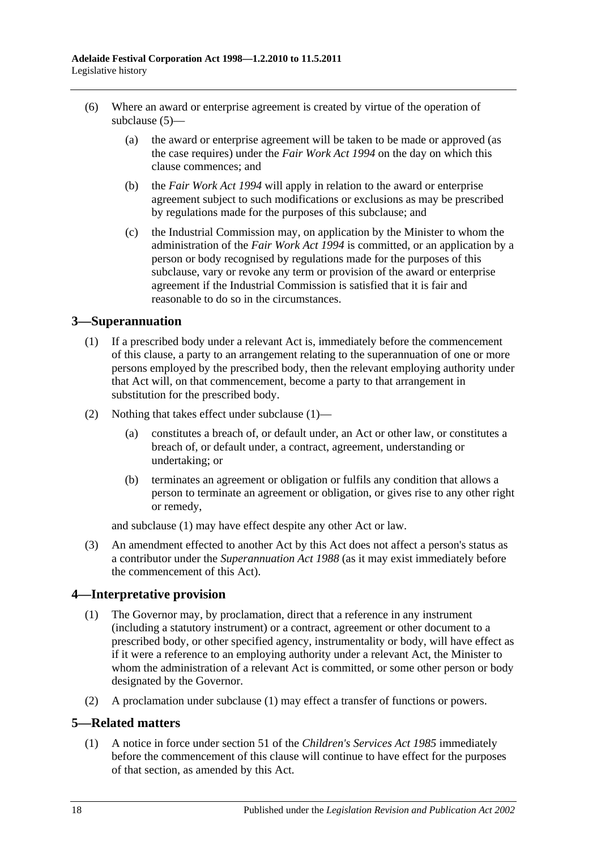- <span id="page-17-0"></span>(6) Where an award or enterprise agreement is created by virtue of the operation of [subclause](#page-16-0) (5)—
	- (a) the award or enterprise agreement will be taken to be made or approved (as the case requires) under the *[Fair Work Act](http://www.legislation.sa.gov.au/index.aspx?action=legref&type=act&legtitle=Fair%20Work%20Act%201994) 1994* on the day on which this clause commences; and
	- (b) the *[Fair Work Act](http://www.legislation.sa.gov.au/index.aspx?action=legref&type=act&legtitle=Fair%20Work%20Act%201994) 1994* will apply in relation to the award or enterprise agreement subject to such modifications or exclusions as may be prescribed by regulations made for the purposes of this subclause; and
	- (c) the Industrial Commission may, on application by the Minister to whom the administration of the *[Fair Work Act](http://www.legislation.sa.gov.au/index.aspx?action=legref&type=act&legtitle=Fair%20Work%20Act%201994) 1994* is committed, or an application by a person or body recognised by regulations made for the purposes of this subclause, vary or revoke any term or provision of the award or enterprise agreement if the Industrial Commission is satisfied that it is fair and reasonable to do so in the circumstances.

## <span id="page-17-1"></span>**3—Superannuation**

- (1) If a prescribed body under a relevant Act is, immediately before the commencement of this clause, a party to an arrangement relating to the superannuation of one or more persons employed by the prescribed body, then the relevant employing authority under that Act will, on that commencement, become a party to that arrangement in substitution for the prescribed body.
- (2) Nothing that takes effect under [subclause](#page-17-1) (1)—
	- (a) constitutes a breach of, or default under, an Act or other law, or constitutes a breach of, or default under, a contract, agreement, understanding or undertaking; or
	- (b) terminates an agreement or obligation or fulfils any condition that allows a person to terminate an agreement or obligation, or gives rise to any other right or remedy,

and [subclause](#page-17-1) (1) may have effect despite any other Act or law.

(3) An amendment effected to another Act by this Act does not affect a person's status as a contributor under the *[Superannuation Act](http://www.legislation.sa.gov.au/index.aspx?action=legref&type=act&legtitle=Superannuation%20Act%201988) 1988* (as it may exist immediately before the commencement of this Act).

## <span id="page-17-2"></span>**4—Interpretative provision**

- (1) The Governor may, by proclamation, direct that a reference in any instrument (including a statutory instrument) or a contract, agreement or other document to a prescribed body, or other specified agency, instrumentality or body, will have effect as if it were a reference to an employing authority under a relevant Act, the Minister to whom the administration of a relevant Act is committed, or some other person or body designated by the Governor.
- (2) A proclamation under [subclause](#page-17-2) (1) may effect a transfer of functions or powers.

#### **5—Related matters**

(1) A notice in force under section 51 of the *[Children's Services Act](http://www.legislation.sa.gov.au/index.aspx?action=legref&type=act&legtitle=Childrens%20Services%20Act%201985) 1985* immediately before the commencement of this clause will continue to have effect for the purposes of that section, as amended by this Act.